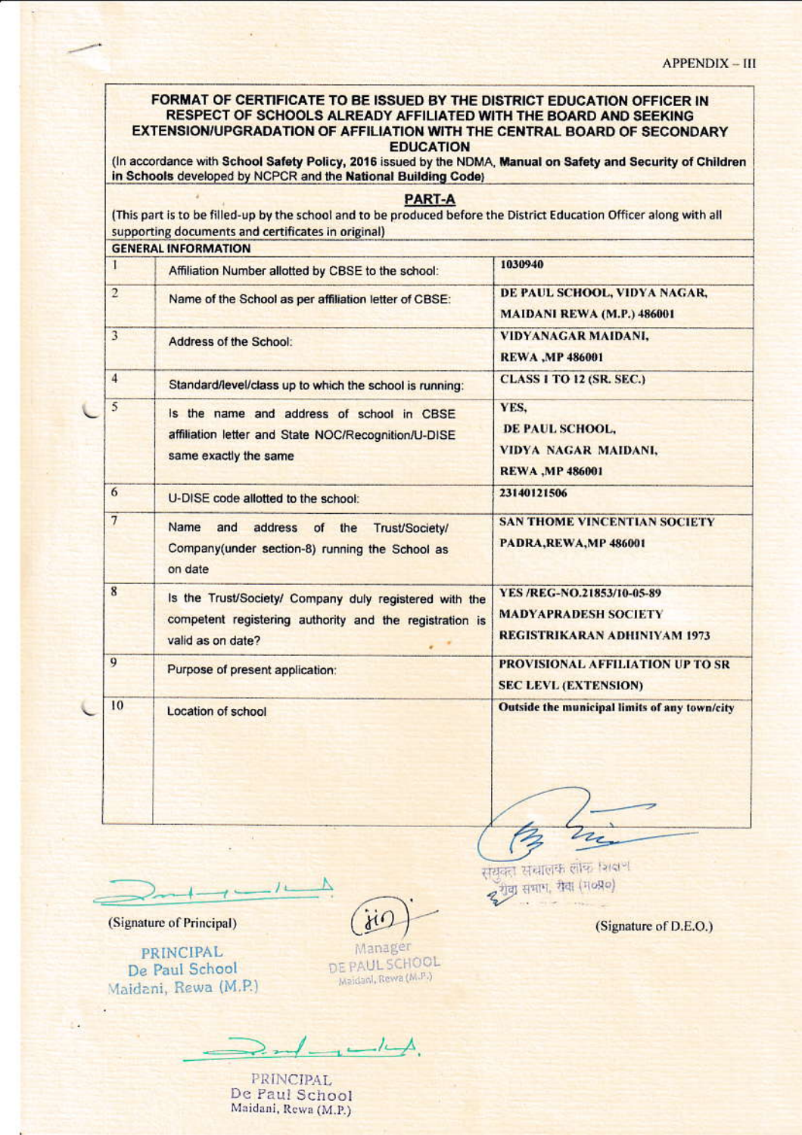## FORMAT OF CERTIFICATE TO BE ISSUED BY THE DISTRICT EDUCATION OFFICER IN RESPECT OF SCHOOLS ALREADY AFFILIATED WITH THE BOARD AND SEEKING EXTENSION/UPGRADATION OF AFFILIATION WITH THE CENTRAL BOARD OF SECONDARY **EDUCATION**

(In accordance with School Safety Policy, 2016 issued by the NDMA, Manual on Safety and Security of Children in Schools developed by NCPCR and the National Building Code)

|                | <b>GENERAL INFORMATION</b>                                                                                                             |                                                                   |
|----------------|----------------------------------------------------------------------------------------------------------------------------------------|-------------------------------------------------------------------|
| L              | Affiliation Number allotted by CBSE to the school:                                                                                     | 1030940                                                           |
| $\overline{2}$ | Name of the School as per affiliation letter of CBSE:                                                                                  | DE PAUL SCHOOL, VIDYA NAGAR,<br><b>MAIDANI REWA (M.P.) 486001</b> |
| 3              | Address of the School:                                                                                                                 | <b>VIDYANAGAR MAIDANI,</b>                                        |
|                |                                                                                                                                        | <b>REWA , MP 486001</b>                                           |
| 4              | Standard/level/class up to which the school is running:                                                                                | <b>CLASS 1 TO 12 (SR. SEC.)</b>                                   |
| 5              | Is the name and address of school in CBSE<br>affiliation letter and State NOC/Recognition/U-DISE<br>same exactly the same              | YES,                                                              |
|                |                                                                                                                                        | DE PAUL SCHOOL,                                                   |
|                |                                                                                                                                        | VIDYA NAGAR MAIDANI,                                              |
|                |                                                                                                                                        | <b>REWA , MP 486001</b>                                           |
| 6              | U-DISE code allotted to the school:                                                                                                    | 23140121506                                                       |
| 7              | Name<br>and<br>address<br>of the<br>Trust/Society/<br>Company(under section-8) running the School as<br>on date                        | <b>SAN THOME VINCENTIAN SOCIETY</b>                               |
|                |                                                                                                                                        | PADRA, REWA, MP 486001                                            |
| 8              | Is the Trust/Society/ Company duly registered with the<br>competent registering authority and the registration is<br>valid as on date? | YES /REG-NO.21853/10-05-89                                        |
|                |                                                                                                                                        | <b>MADYAPRADESH SOCIETY</b>                                       |
|                |                                                                                                                                        | REGISTRIKARAN ADHINIYAM 1973                                      |
| 9              | Purpose of present application:                                                                                                        | PROVISIONAL AFFILIATION UP TO SR                                  |
|                |                                                                                                                                        | <b>SEC LEVL (EXTENSION)</b>                                       |
| 10             | Location of school                                                                                                                     | Outside the municipal limits of any town/city                     |
|                |                                                                                                                                        |                                                                   |
|                |                                                                                                                                        |                                                                   |

 $\mathbf{1}$ 

(Signature of Principal)

**PRINCIPAL** De Paul School Maidani, Rewa (M.P.)

 $\gamma_{\ell}$ 

Manager DE PAUL SCHOOL Maidani, Rewa (M.P.)

 $-$ / $-$ 

**PRINCIPAL** De Paul School Maidani, Rewa (M.P.) संयुक्त संचालक लोक विद्या द रोवा सभाग, रोदा (म०प्र०)

z

(Signature of D.E.O.)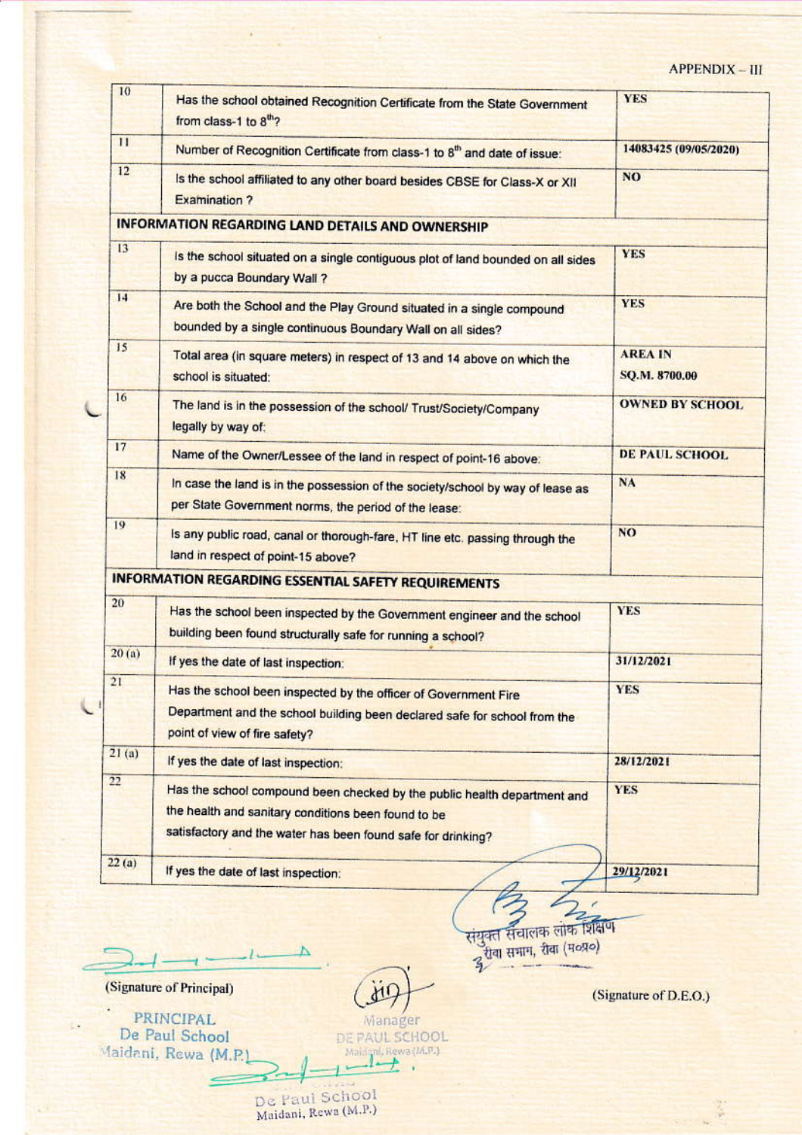## APPENDIX - III

| 10    | Has the school obtained Recognition Certificate from the State Government<br>from class-1 to 8th?                                                                                               | <b>YES</b>                      |
|-------|-------------------------------------------------------------------------------------------------------------------------------------------------------------------------------------------------|---------------------------------|
| 11    | Number of Recognition Certificate from class-1 to 8 <sup>th</sup> and date of issue:                                                                                                            | 14083425 (09/05/2020)           |
| 12    | Is the school affiliated to any other board besides CBSE for Class-X or XII<br><b>Examination ?</b>                                                                                             | <b>NO</b>                       |
|       | <b>INFORMATION REGARDING LAND DETAILS AND OWNERSHIP</b>                                                                                                                                         |                                 |
| 13    | Is the school situated on a single contiguous plot of land bounded on all sides<br>by a pucca Boundary Wall ?                                                                                   | <b>YES</b>                      |
| 14    | Are both the School and the Play Ground situated in a single compound<br>bounded by a single continuous Boundary Wall on all sides?                                                             | <b>YES</b>                      |
| 15    | Total area (in square meters) in respect of 13 and 14 above on which the<br>school is situated:                                                                                                 | <b>AREA IN</b><br>SQ.M. 8700.00 |
| 16    | The land is in the possession of the school/ Trust/Society/Company<br>legally by way of:                                                                                                        | <b>OWNED BY SCHOOL</b>          |
| 17    | Name of the Owner/Lessee of the land in respect of point-16 above:                                                                                                                              | <b>DE PAUL SCHOOL</b>           |
| 18    | In case the land is in the possession of the society/school by way of lease as<br>per State Government norms, the period of the lease:                                                          | <b>NA</b>                       |
| 19    | is any public road, canal or thorough-fare, HT line etc. passing through the<br>land in respect of point-15 above?                                                                              | N <sub>O</sub>                  |
|       | <b>INFORMATION REGARDING ESSENTIAL SAFETY REQUIREMENTS</b>                                                                                                                                      |                                 |
| 20    | Has the school been inspected by the Government engineer and the school<br>building been found structurally safe for running a school?                                                          | <b>YES</b>                      |
| 20(a) | If yes the date of last inspection:                                                                                                                                                             | 31/12/2021                      |
| 21    | Has the school been inspected by the officer of Government Fire<br>Department and the school building been declared safe for school from the<br>point of view of fire safety?                   | <b>YES</b>                      |
| 21(a) | If yes the date of last inspection:                                                                                                                                                             | 28/12/2021                      |
| 22    | Has the school compound been checked by the public health department and<br>the health and sanitary conditions been found to be<br>satisfactory and the water has been found safe for drinking? | <b>YES</b>                      |
| 22(a) | If yes the date of last inspection:                                                                                                                                                             | 29/12/2021                      |

संयुक्त संचालक लोक शिक्षण<br>दुरीया समाग, रीवा (म०प्र०)

(Signature of D.E.O.)

(Signature of Principal)

ł,

PRINCIPAL De Paul School Maidani, Rewa (M.P.

Manager DE PAUL SCHOOL Maid mi, Rewa (M.P.) l,

 $d_1$ 

De Paul School<br>Maidani, Rewa (M.P.)